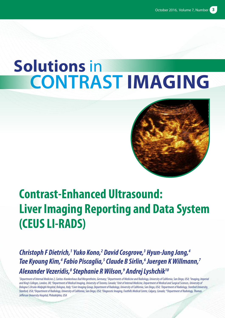# **Solutions** in **CONTRAST IMAGING**



# **Contrast-Enhanced Ultrasound: Liver Imaging Reporting and Data System (CEUS LI-RADS)**

*Christoph F Dietrich,1 Yuko Kono,2 David Cosgrove,3 Hyun-Jung Jang,4 Tae Kyoung Kim,4 Fabio Piscaglia,5 Claude B Sirlin,6 Juergen K Willmann,7 Alexander Vezeridis,8 Stephanie R Wilson,9 Andrej Lyshchik10*

<sup>1</sup>Department of Internal Medicine 2, Caritas-Krankenhaus Bad Mergentheim, Germany; <sup>2</sup>Departments of Medicine and Radiology, University of California, San Diego, USA; <sup>3</sup>Imaging, Imperial and King's Colleges, London, UK; <sup>4</sup>Department of Medical Imaging, University of Toronto, Canada; <sup>s</sup>Unit of Internal Medicine, Department of Medical and Surgical Sciences, University of Bologna S.Orsola-Malpighi Hospital, Bologna, Italy; <sup>6</sup>Liver Imaging Group, Department of Radiology, University of California, San Diego, USA; <sup>7</sup>Department of Radiology, Stanford University, Stanford, USA; <sup>8</sup>Department of Radiology, University of California, San Diego, USA; <sup>9</sup>Diagnostic Imaging, Foothills Medical Centre, Calgary, Canada; <sup>10</sup>Department of Radiology, Thomas *Jefferson University Hospital, Philadelphia, USA*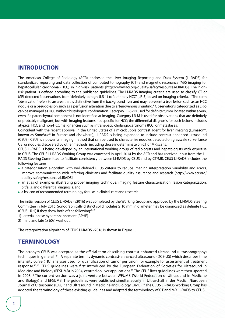#### **INTRODUCTION**

The American College of Radiology (ACR) endorsed the Liver Imaging Reporting and Data System (LI-RADS) for standardized reporting and data collection of computed tomography (CT) and magnetic resonance (MR) imaging for hepatocellular carcinoma (HCC) in high-risk patients [http://www.acr.org/quality-safety/resources/LIRADS]. The highrisk patient is defined according to the published guidelines. The LI-RADS imaging criteria are used to classify CT or MRI detected 'observations' from 'definitely benign' (LR-1) to 'definitely HCC' (LR-5) based on imaging criteria.1-7 The term 'observation' refers to an area that is distinctive from the background liver and may represent a true lesion such as an HCC nodule or a pseudolesion such as a perfusion alteration due to arteriovenous shunting.<sup>8</sup> Observations categorized as LR-5 can be managed as HCC without histological confirmation. Category LR-5V is used for definite tumor located within a vein, even if a parenchymal component is not identified at imaging. Category LR-M is used for observations that are definitely or probably malignant, but with imaging features not specific for HCC; the differential diagnosis for such lesions includes atypical HCC and non-HCC malignancies such as intrahepatic cholangiocarcinoma (ICC) or metastases.

Coincident with the recent approval in the United States of a microbubble contrast agent for liver imaging (Lumason®, known as SonoVue® in Europe and elsewhere), LI-RADS is being expanded to include contrast-enhanced ultrasound (CEUS). CEUS is a powerful imaging method that can be used to characterize nodules detected on grayscale surveillance US, or nodules discovered by other methods, including those indeterminate on CT or MR scans.

CEUS LI-RADS is being developed by an international working group of radiologists and hepatologists with expertise in CEUS. The CEUS LI-RADS Working Group was convened in April 2014 by the ACR and has received input from the LI-RADS Steering Committee to facilitate consistency between LI-RADS by CEUS and by CT/MR. CEUS LI-RADS includes the following features:

- a categorization algorithm with well-defined CEUS criteria to reduce imaging interpretation variability and errors, improve communication with referring clinicians and facilitate quality assurance and research [http://www.acr.org/ quality-safety/resources/LIRADS]
- an atlas of examples illustrating proper imaging technique, imaging feature characterization, lesion categorization, pitfalls, and differential diagnosis, and
- a lexicon of recommended terminology for use in clinical care and research.

The initial version of CEUS LI-RADS (v2016) was completed by the Working Group and approved by the LI-RADS Steering Committee in July 2016. Sonographically distinct solid nodules ≥ 10 mm in diameter may be diagnosed as definite HCC (CEUS LR-5) if they show both of the following: $9-12$ 

1) arterial phase hyperenhancement (APHE)

2) mild and late  $(≥ 60s)$  washout.

The categorization algorithm of CEUS LI-RADS v2016 is shown in Figure 1.

# **TERMINOLOGY**

The acronym CEUS was accepted as the official term describing contrast-enhanced ultrasound (ultrasonography) techniques in general.13,14 A separate term is dynamic contrast-enhanced ultrasound (DCE-US) which describes time intensity curve (TIC) analyses used for quantification of tumor perfusion, for example for assessment of treatment response.15,16 CEUS guidelines were first introduced by the European Federation of Societies for Ultrasound in Medicine and Biology (EFSUMB) in 2004, centred on liver applications.17 The CEUS liver guidelines were then updated in 2008.18 The current version was a joint venture between WFUMB (World Federation of Ultrasound in Medicine and Biology) and EFSUMB. The guidelines were published simultaneously in Ultraschall in der Medizin/European Journal of Ultrasound (EJU)<sup>13</sup> and Ultrasound in Medicine and Biology (UMB).<sup>14</sup> The CEUS LI-RADS Working Group has adopted the terminology of these existing guidelines and adapted the terminology of CT and MR LI-RADS to CEUS.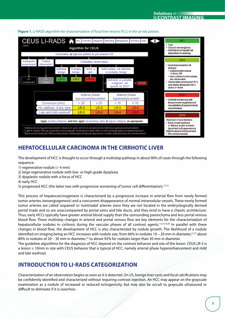

#### **Figure 1.** LI-RADS algorithm for characterization of focal liver lesions (FLL) in the at-risk patient.

# **HEPATOCELLULAR CARCINOMA IN THE CIRRHOTIC LIVER**

The development of HCC is thought to occur through a multistep pathway in about 90% of cases through the following sequence:

- 1) regenerative nodule  $(> 4$  mm)
- 2) large regenerative nodule with low- or high-grade dysplasia
- 3) dysplastic nodule with a focus of HCC
- 4) early HCC
- 5) progressed HCC (the latter two with progressive worsening of tumor cell differentiation).13,14

This process of hepatocarcinogenesis is characterized by a progressive increase in arterial flow from newly formed tumor arteries (neoangiogenesis) and a concurrent disappearance of normal intranodular vessels. These newly formed tumor arteries are called 'unpaired' or 'nontriadal' arteries since they are not located in the embryologically derived portal triads and so are unaccompanied by portal veins and bile ducts, and they tend to have a chaotic architecture. Thus, early HCCs typically have greater arterial blood supply than the surrounding parenchyma and less portal venous blood flow. These multistep changes in arterial and portal venous flow are key elements for the characterization of hepatocellular nodules in cirrhosis during the vascular phases of all contrast agents.13,14,19,20 In parallel with these changes in blood flow, the development of HCC is also characterized by nodule growth. The likelihood of a nodule identified on imaging being an HCC increases with nodule size, from 66% in nodules 10 – 20 mm in diameter,  $2^{1,22}$  about 80% in nodules of 20 - 30 mm in diameter,<sup>23</sup> to above 92% for nodules larger than 30 mm in diameter.

The guideline algorithms for the diagnosis of HCC depend on the contrast behavior and size of the lesion. CEUS LR-5 is a lesion ≥ 10mm in size with CEUS behavior that is typical of HCC, namely arterial phase hyperenhancement and mild and late washout.

# **INTRODUCTION TO LI-RADS CATEGORIZATION**

Characterization of an observation begins as soon as it is detected. On US, benign liver cysts and focal calcifications may be confidently identified and characterized without requiring contrast injection. An HCC may appear on the grayscale examination as a nodule of increased or reduced echogenicity, but may also be occult to grayscale ultrasound or difficult to delineate if it is isoechoic.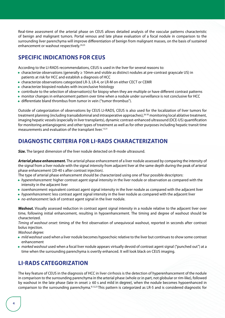Real-time assessment of the arterial phase on CEUS allows detailed analysis of the vascular patterns characteristic of benign and malignant tumors. Portal venous and late phase evaluation of a focal nodule in comparison to the surrounding liver parenchyma will improve differentiation of benign from malignant masses, on the basis of sustained enhancement or washout respectively.<sup>24,25</sup>

# **SPECIFIC INDICATIONS FOR CEUS**

According to the LI-RADS recommendations, CEUS is used in the liver for several reasons to:

- characterize observations (generally ≥ 10mm and visible as distinct nodules at pre-contrast grayscale US) in patients at risk for HCC and establish a diagnosis of HCC
- characterize observations categorized LR-3, LR-4, or LR-M on either CECT or CEMR
- characterize biopsied nodules with inconclusive histology
- contribute to the selection of observation(s) for biopsy when they are multiple or have different contrast patterns
- monitor changes in enhancement pattern over time when a nodule under surveillance is not conclusive for HCC
- differentiate bland thrombus from tumor in vein ("tumor thrombus").

Outside of categorization of observations by CEUS LI-RADS, CEUS is also used for the localization of liver tumors for treatment planning (including transabdominal and intraoperative approaches), 26-30 monitoring local ablative treatment, imaging hepatic vessels (especially in liver transplants), dynamic contrast-enhanced ultrasound (DCE-US) quantification for monitoring antiangiogenic and other types of treatment as well as for other purposes including hepatic transit time measurements and evaluation of the transplant liver.<sup>13,31</sup>

# **DIAGNOSTIC CRITERIA FOR LI-RADS CHARACTERIZATION**

**Size.** The largest dimension of the liver nodule detected on B-mode ultrasound.

*Arterial phase enhancement.* The arterial phase enhancement of a liver nodule assessed by comparing the intensity of the signal from a liver nodule with the signal intensity from adjacent liver at the same depth during the peak of arterial phase enhancement (20-40 s after contrast injection).

The type of arterial phase enhancement should be characterized using one of four possible descriptors:

- *hyperenhancement:* higher contrast agent signal intensity in the liver nodule or observation as compared with the intensity in the adjacent liver
- *isoenhancement:* equivalent contrast agent signal intensity in the liver nodule as compared with the adjacent liver
- *hypoenhancement:* less contrast agent signal intensity in the liver nodule as compared with the adjacent liver
- *no-enhancement:* lack of contrast agent signal in the liver nodule.

*Washout.* Visually assessed reduction in contrast agent signal intensity in a nodule relative to the adjacent liver over time, following initial enhancement, resulting in hypoenhancement. The timing and degree of washout should be characterized.

*Timing of washout onset:* timing of the first observation of unequivocal washout, reported in seconds after contrast bolus injection.

*Washout degree:* 

- *mild washout* used when a liver nodule becomes hypoechoic relative to the liver but continues to show some contrast enhancement
- *marked washout* used when a focal liver nodule appears virtually devoid of contrast agent signal ("punched out") at a time when the surrounding parenchyma is overtly enhanced. It will look black on CEUS imaging.

# **LI-RADS CATEGORIZATION**

The key feature of CEUS in the diagnosis of HCC in liver cirrhosis is the detection of hyperenhancement of the nodule in comparison to the surrounding parenchyma in the arterial phase (whole or in part, not globular or rim-like), followed by washout in the late phase (late in onset ≥ 60 s and mild in degree), when the nodule becomes hypoenhanced in comparison to the surrounding parenchyma.9,12,23 This pattern is categorized as LR-5 and is considered diagnostic for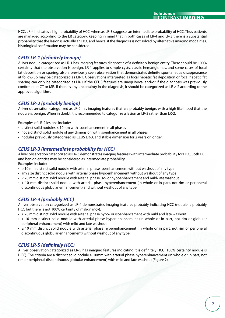HCC. LR-4 indicates a high probability of HCC, whereas LR-3 suggests an intermediate probability of HCC. Thus patients are managed according to the LR category, keeping in mind that in both cases of LR-4 and LR-3 there is a substantial probability that the lesion is actually an HCC and hence, if the diagnosis is not solved by alternative imaging modalities, histological confirmation may be considered.

**Solutions** in **CONTRAST IMAGING**

#### *CEUS LR-1 (definitely benign)*

A liver nodule categorized as LR-1 has imaging features diagnostic of a definitely benign entity. There should be 100% certainty that the observation is benign. LR-1 applies to simple cysts, classic hemangiomas, and some cases of focal fat deposition or sparing; also a previously seen observation that demonstrates definite spontaneous disappearance at follow-up may be categorized as LR-1. Observations interpreted as focal hepatic fat deposition or focal hepatic fat sparing can only be categorized as LR-1 if the CEUS features are unequivocal and/or if the diagnosis was previously confirmed at CT or MR. If there is any uncertainty in the diagnosis, it should be categorized as  $LR \geq 2$  according to the approved algorithm.

#### *CEUS LR-2 (probably benign)*

A liver observation categorized as LR-2 has imaging features that are probably benign, with a high likelihood that the nodule is benign. When in doubt it is recommended to categorize a lesion as LR-3 rather than LR-2.

Examples of LR-2 lesions include:

- distinct solid nodules < 10mm with isoenhancement in all phases
- not a distinct solid nodule of any dimension with isoenhancement in all phases
- nodules previously categorized as CEUS LR-3, and stable dimension for 2 years or longer.

#### *CEUS LR-3 (intermediate probability for HCC)*

A liver observation categorized as LR-3 demonstrates imaging features with intermediate probability for HCC. Both HCC and benign entities may be considered as intermediate probability.

Examples include:

- ≥ 10 mm distinct solid nodule with arterial phase isoenhancement without washout of any type
- any size distinct solid nodule with arterial phase hypoenhancement without washout of any type
- < 20 mm distinct solid nodule with arterial phase iso- or hypoenhancement and mild/late washout
- < 10 mm distinct solid nodule with arterial phase hyperenhancement (in whole or in part, not rim or peripheral discontinuous globular enhancement) and without washout of any type.

#### *CEUS LR-4 (probably HCC)*

A liver observation categorized as LR-4 demonstrates imaging features probably indicating HCC (nodule is probably HCC but there is not 100% certainty of malignancy):

- ≥ 20 mm distinct solid nodule with arterial phase hypo- or isoenhancement with mild and late washout
- < 10 mm distinct solid nodule with arterial phase hyperenhancement (in whole or in part, not rim or globular peripheral enhancement) with mild and late washout
- ≥ 10 mm distinct solid nodule with arterial phase hyperenhancement (in whole or in part, not rim or peripheral discontinuous globular enhancement) without washout of any type.

#### *CEUS LR-5 (definitely HCC)*

A liver observation categorized as LR-5 has imaging features indicating it is definitely HCC (100% certainty nodule is HCC). The criteria are a distinct solid nodule ≥ 10mm with arterial phase hyperenhancement (in whole or in part, not rim or peripheral discontinuous globular enhancement) with mild and late washout (Figure 2).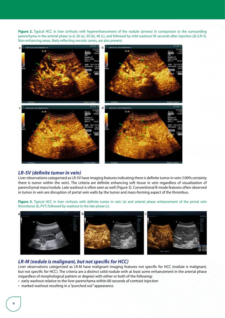**Figure 2.** Typical HCC in liver cirrhosis with hyperenhancement of the nodule (arrows) in comparison to the surrounding parenchyma in the arterial phase (a-d, 26 (a), 30 (b), 40 (c), and followed by mild washout 95 seconds after injection (d) (LR-5). Non-enhancing areas, likely reflecting necrotic zones, are also present.



#### *LR-5V (definite tumor in vein)*

Liver observations categorized as LR-5V have imaging features indicating there is definite tumor in vein (100% certainty there is tumor within the vein). The criteria are definite enhancing soft tissue in vein regardless of visualization of parenchymal mass/nodule. Late washout is often seen as well (Figure 3). Conventional B-mode features often observed in tumor in vein are disruption of portal vein walls by the tumor and mass-forming aspect of the thrombus.

Figure 3. Typical HCC in liver cirrhosis with definite tumor in vein (a) and arterial phase enhancement of the portal vein thrombosis (b, PVT) followed by washout in the late phase (c).



#### *LR-M (nodule is malignant, but not specific for HCC)*

Liver observations categorized as LR-M have malignant imaging features not specific for HCC (nodule is malignant, but not specific for HCC). The criteria are a distinct solid nodule with at least some enhancement in the arterial phase (regardless of morphological pattern or degree) with either or both of the following:

- early washout relative to the liver parenchyma within 60 seconds of contrast injection
- marked washout resulting in a "punched out" appearance.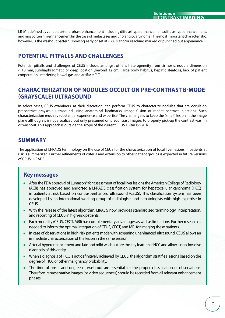LR-M is defined by variable arterial phase enhancement including diffuse hyperenhancement, diffuse hypoenhancement, and most often rim enhancement (in the case of metastases and cholangiocarcinoma). The most important characteristic, however, is the washout pattern, showing early onset at < 60 s and/or reaching marked or punched out appearance.

# **POTENTIAL PITFALLS AND CHALLENGES**

Potential pitfalls and challenges of CEUS include, amongst others, heterogeneity from cirrhosis, nodule dimension < 10 mm, subdiaphragmatic or deep location (beyond 12 cm), large body habitus, hepatic steatosis, lack of patient cooperation, interfering bowel gas and artifacts.32,33

# **CHARACTERIZATION OF NODULES OCCULT ON PRE-CONTRAST B-MODE (GRAYSCALE) ULTRASOUND**

In select cases, CEUS examiners, at their discretion, can perform CEUS to characterize nodules that are occult on precontrast grayscale ultrasound using anatomical landmarks, image fusion or repeat contrast injections. Such characterization requires substantial experience and expertise. The challenge is to keep the (small) lesion in the image plane although it is not visualized but only presumed on precontrast images, to properly pick-up the contrast washin or washout. This approach is outside the scope of the current CEUS LI-RADS v2016.

# **SUMMARY**

The application of LI-RADS terminology on the use of CEUS for the characterization of focal liver lesions in patients at risk is summarized. Further refinements of criteria and extension to other patient groups is expected in future versions of CEUS LI-RADS.

#### **Key messages**

- After the FDA approval of Lumason® for assessment of focal liver lesions the American College of Radiology (ACR) has approved and endorsed a LI-RADS classification system for hepatocellular carcinoma (HCC) in patients at risk based on contrast-enhanced ultrasound (CEUS). This classification system has been developed by an international working group of radiologists and hepatologists with high expertise in CEUS.
- With the release of the latest algorithm, LIRADS now provides standardized terminology, interpretation, and reporting of CEUS in high-risk patients.
- Each modality (CEUS, CECT, MRI) has complementary advantages as well as limitations. Further research is needed to inform the optimal integration of CEUS, CECT, and MRI for imaging these patients.
- In case of observations in high-risk patients made with screening unenhanced ultrasound, CEUS allows an immediate characterization of the lesion in the same session.
- Arterial hyperenhancement and late and mild washout are the key feature of HCC and allow a non-invasive diagnosis of this entity.
- When a diagnosis of HCC is not definitively achieved by CEUS, the algorithm stratifies lesions based on the degree of HCC or other malignancy probability.
- The time of onset and degree of wash-out are essential for the proper classification of observations. Therefore, representative images (or video sequences) should be recorded from all relevant enhancement phases.